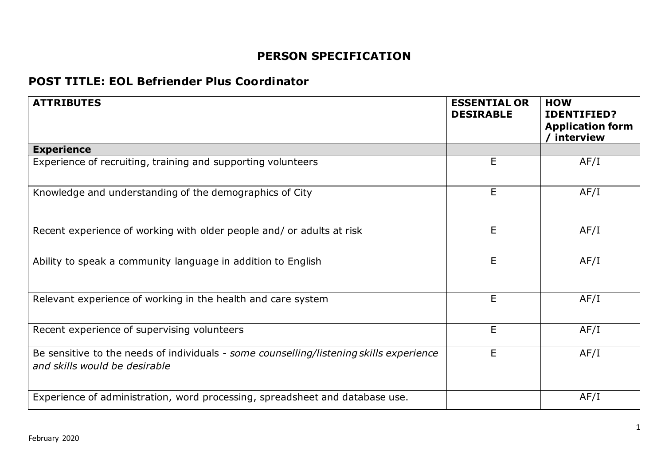## **PERSON SPECIFICATION**

## **POST TITLE: EOL Befriender Plus Coordinator**

| <b>ATTRIBUTES</b>                                                                                                        | <b>ESSENTIAL OR</b><br><b>DESIRABLE</b> | <b>HOW</b><br><b>IDENTIFIED?</b><br><b>Application form</b><br>/ interview |
|--------------------------------------------------------------------------------------------------------------------------|-----------------------------------------|----------------------------------------------------------------------------|
| <b>Experience</b>                                                                                                        |                                         |                                                                            |
| Experience of recruiting, training and supporting volunteers                                                             | E                                       | AF/I                                                                       |
| Knowledge and understanding of the demographics of City                                                                  | E                                       | AF/I                                                                       |
| Recent experience of working with older people and/ or adults at risk                                                    | E.                                      | AF/I                                                                       |
| Ability to speak a community language in addition to English                                                             | E                                       | AF/I                                                                       |
| Relevant experience of working in the health and care system                                                             | E                                       | AF/I                                                                       |
| Recent experience of supervising volunteers                                                                              | E                                       | AF/I                                                                       |
| Be sensitive to the needs of individuals - some counselling/listening skills experience<br>and skills would be desirable | Е                                       | AF/I                                                                       |
| Experience of administration, word processing, spreadsheet and database use.                                             |                                         | AF/I                                                                       |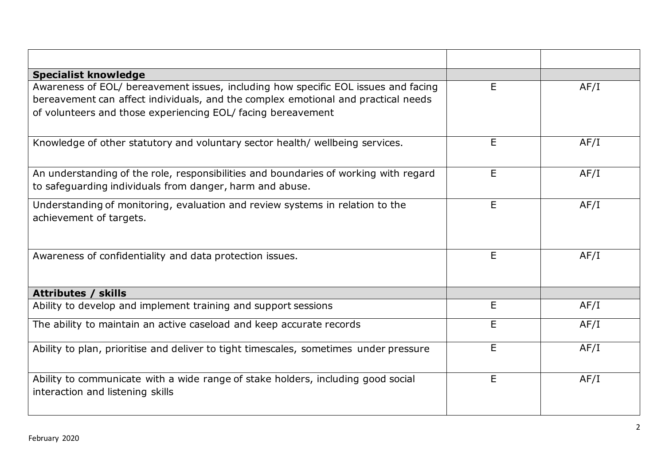| <b>Specialist knowledge</b>                                                                                                                                                                                                             |    |      |
|-----------------------------------------------------------------------------------------------------------------------------------------------------------------------------------------------------------------------------------------|----|------|
| Awareness of EOL/ bereavement issues, including how specific EOL issues and facing<br>bereavement can affect individuals, and the complex emotional and practical needs<br>of volunteers and those experiencing EOL/ facing bereavement | E  | AF/I |
| Knowledge of other statutory and voluntary sector health/ wellbeing services.                                                                                                                                                           | E  | AF/I |
| An understanding of the role, responsibilities and boundaries of working with regard<br>to safeguarding individuals from danger, harm and abuse.                                                                                        | E. | AF/I |
| Understanding of monitoring, evaluation and review systems in relation to the<br>achievement of targets.                                                                                                                                | E  | AF/I |
| Awareness of confidentiality and data protection issues.                                                                                                                                                                                | E  | AF/I |
| <b>Attributes / skills</b>                                                                                                                                                                                                              |    |      |
| Ability to develop and implement training and support sessions                                                                                                                                                                          | E  | AF/I |
| The ability to maintain an active caseload and keep accurate records                                                                                                                                                                    | E  | AF/I |
| Ability to plan, prioritise and deliver to tight timescales, sometimes under pressure                                                                                                                                                   | E. | AF/I |
| Ability to communicate with a wide range of stake holders, including good social<br>interaction and listening skills                                                                                                                    | E  | AF/I |